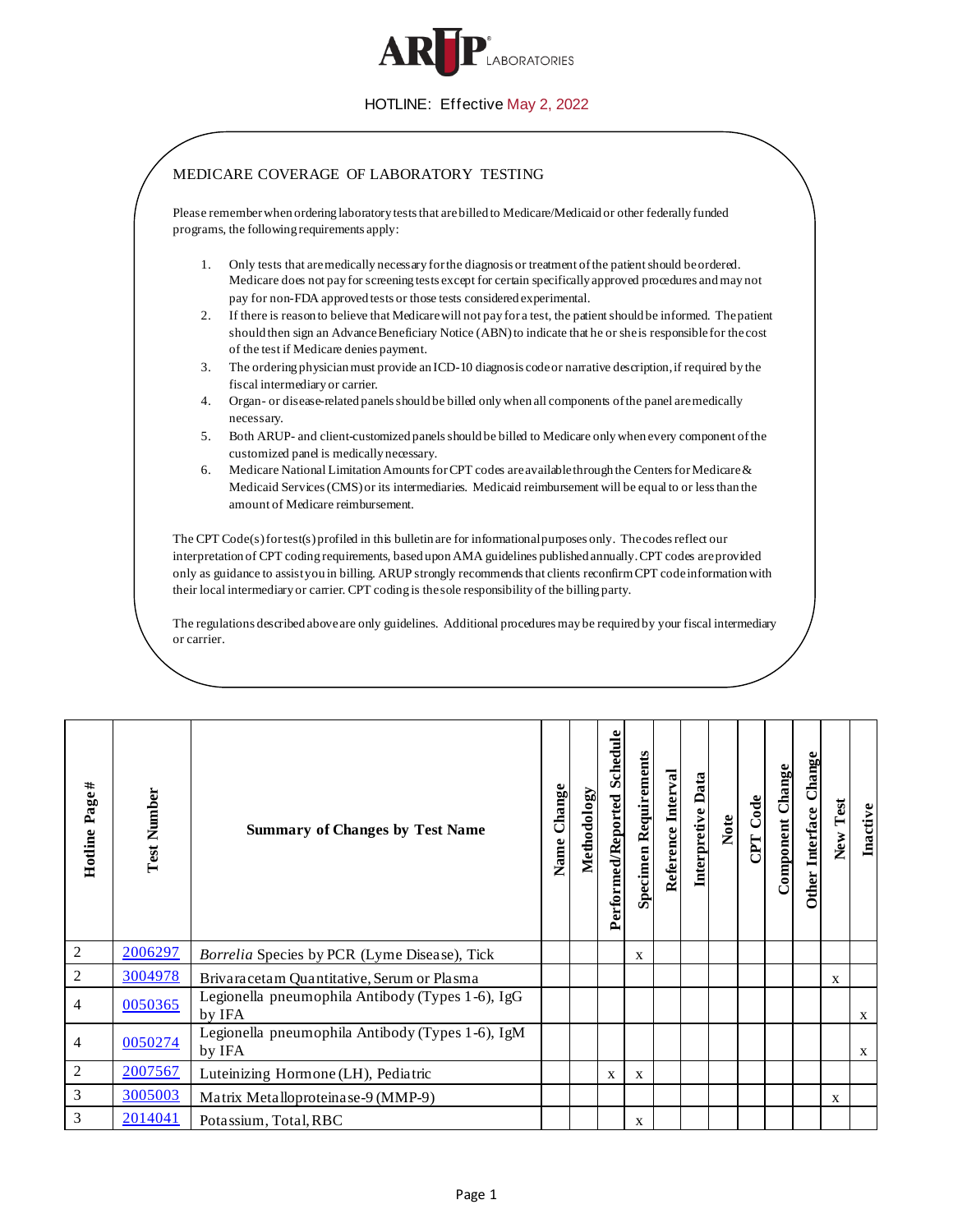

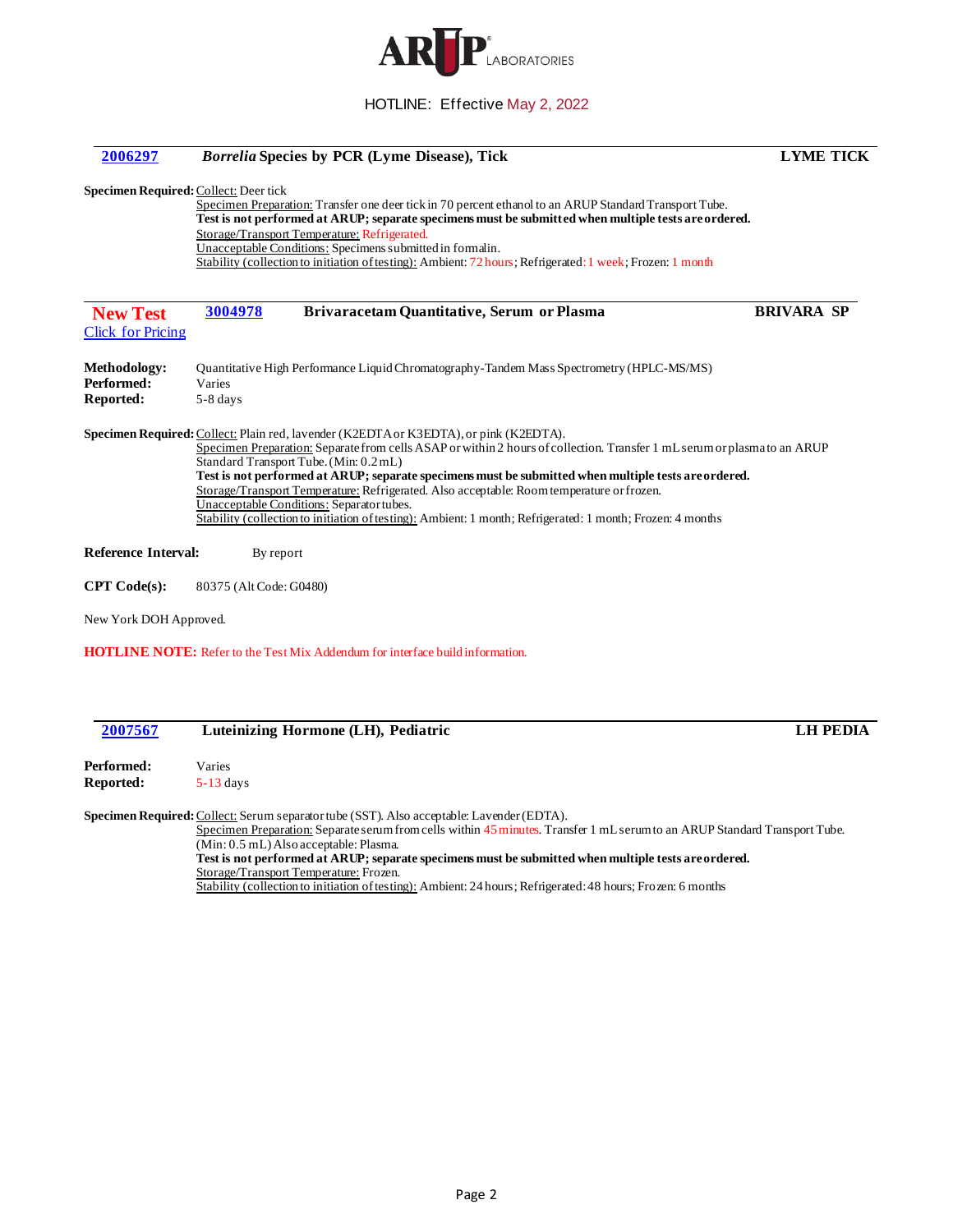

| 2006297                                               | <b>Borrelia Species by PCR (Lyme Disease), Tick</b>                                                                                                                                                                                                                                                                                                                                                                                                                                                                                                                                                                        | <b>LYME TICK</b>  |  |  |
|-------------------------------------------------------|----------------------------------------------------------------------------------------------------------------------------------------------------------------------------------------------------------------------------------------------------------------------------------------------------------------------------------------------------------------------------------------------------------------------------------------------------------------------------------------------------------------------------------------------------------------------------------------------------------------------------|-------------------|--|--|
| <b>Specimen Required: Collect: Deer tick</b>          | Specimen Preparation: Transfer one deer tick in 70 percent ethanol to an ARUP Standard Transport Tube.<br>Test is not performed at ARUP; separate specimens must be submitted when multiple tests are ordered.<br>Storage/Transport Temperature: Refrigerated.                                                                                                                                                                                                                                                                                                                                                             |                   |  |  |
|                                                       | Unacceptable Conditions: Specimens submitted in formalin.<br>Stability (collection to initiation of testing): Ambient: 72 hours; Refrigerated: 1 week; Frozen: 1 month                                                                                                                                                                                                                                                                                                                                                                                                                                                     |                   |  |  |
| <b>New Test</b><br><b>Click for Pricing</b>           | 3004978<br>Brivaracetam Quantitative, Serum or Plasma                                                                                                                                                                                                                                                                                                                                                                                                                                                                                                                                                                      | <b>BRIVARA SP</b> |  |  |
| <b>Methodology:</b><br>Performed:<br><b>Reported:</b> | Quantitative High Performance Liquid Chromatography-Tandem Mass Spectrometry (HPLC-MS/MS)<br>Varies<br>5-8 days                                                                                                                                                                                                                                                                                                                                                                                                                                                                                                            |                   |  |  |
|                                                       | Specimen Required: Collect: Plain red, lavender (K2EDTA or K3EDTA), or pink (K2EDTA).<br>Specimen Preparation: Separate from cells ASAP or within 2 hours of collection. Transfer 1 mL serum or plasmato an ARUP<br>Standard Transport Tube. (Min: 0.2 mL)<br>Test is not performed at ARUP; separate specimens must be submitted when multiple tests are ordered.<br>Storage/Transport Temperature: Refrigerated. Also acceptable: Room temperature or frozen.<br>Unacceptable Conditions: Separator tubes.<br>Stability (collection to initiation of testing): Ambient: 1 month; Refrigerated: 1 month; Frozen: 4 months |                   |  |  |
| <b>Reference Interval:</b>                            | By report                                                                                                                                                                                                                                                                                                                                                                                                                                                                                                                                                                                                                  |                   |  |  |
| <b>CPT</b> Code(s):                                   | 80375 (Alt Code: G0480)                                                                                                                                                                                                                                                                                                                                                                                                                                                                                                                                                                                                    |                   |  |  |
| New York DOH Approved.                                |                                                                                                                                                                                                                                                                                                                                                                                                                                                                                                                                                                                                                            |                   |  |  |
|                                                       | <b>HOTLINE NOTE:</b> Refer to the Test Mix Addendum for interface build information.                                                                                                                                                                                                                                                                                                                                                                                                                                                                                                                                       |                   |  |  |
| 2007567                                               | Luteinizing Hormone (LH), Pediatric                                                                                                                                                                                                                                                                                                                                                                                                                                                                                                                                                                                        | <b>LH PEDIA</b>   |  |  |
| Performed:<br><b>Reported:</b>                        | Varies<br>$5-13$ days                                                                                                                                                                                                                                                                                                                                                                                                                                                                                                                                                                                                      |                   |  |  |
|                                                       | Specimen Required: Collect: Serum separator tube (SST). Also acceptable: Lavender (EDTA).                                                                                                                                                                                                                                                                                                                                                                                                                                                                                                                                  |                   |  |  |

Specimen Preparation: Separate serum from cells within 45 minutes. Transfer 1 mL serum to an ARUP Standard Transport Tube.

(Min: 0.5 mL) Also acceptable: Plasma.

**Test is not performed at ARUP; separate specimens must be submitted when multiple tests are ordered.** Storage/Transport Temperature: Frozen.

Stability (collection to initiation of testing): Ambient: 24 hours; Refrigerated: 48 hours; Frozen: 6 months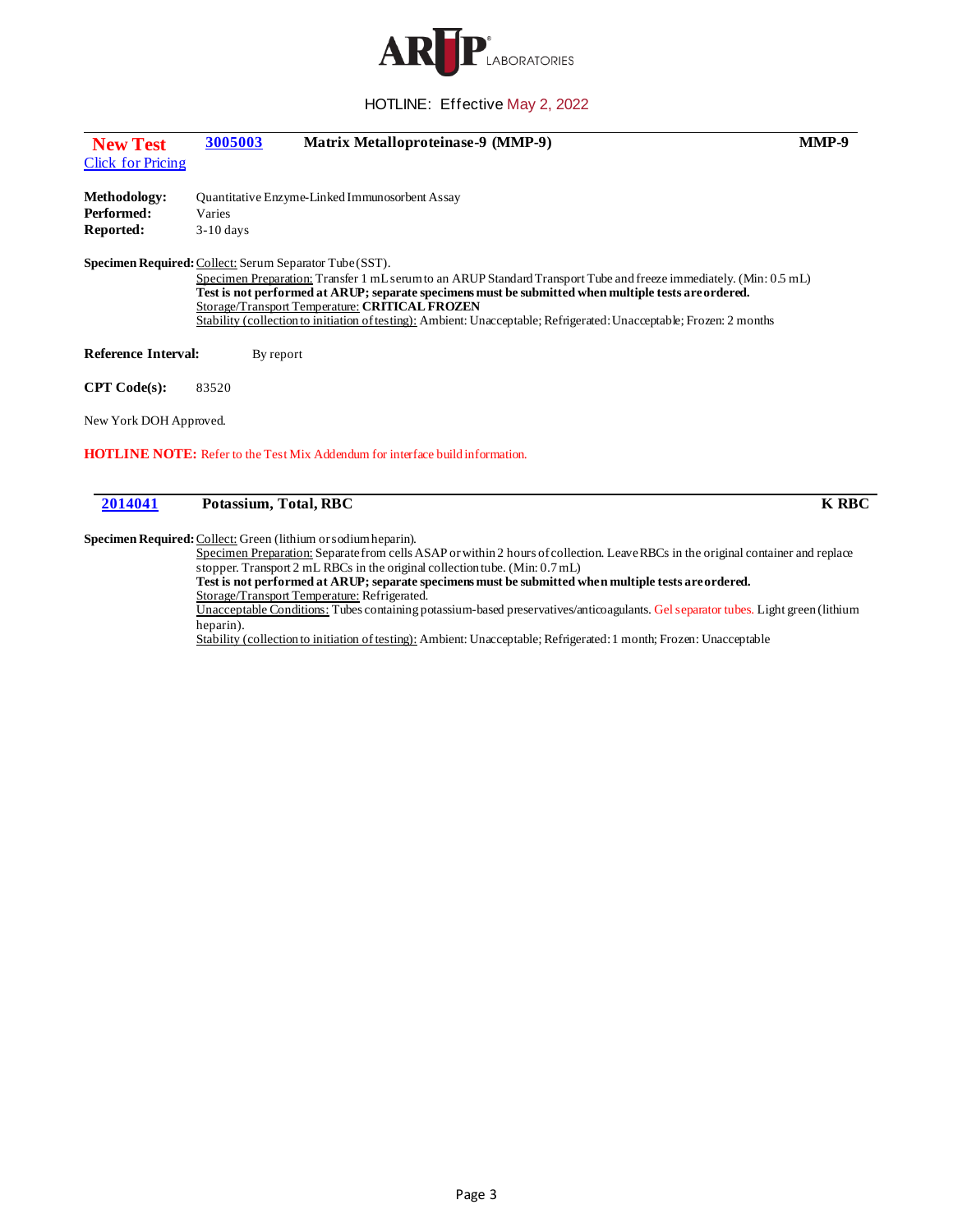

| <b>New Test</b>            | 3005003               | Matrix Metalloproteinase-9 (MMP-9)                                                                                                                                                                                                                                                                                                                                                                   | MMP-9        |  |  |
|----------------------------|-----------------------|------------------------------------------------------------------------------------------------------------------------------------------------------------------------------------------------------------------------------------------------------------------------------------------------------------------------------------------------------------------------------------------------------|--------------|--|--|
| <b>Click for Pricing</b>   |                       |                                                                                                                                                                                                                                                                                                                                                                                                      |              |  |  |
| <b>Methodology:</b>        |                       | Quantitative Enzyme-Linked Immunosorbent Assay                                                                                                                                                                                                                                                                                                                                                       |              |  |  |
| Performed:                 | Varies                |                                                                                                                                                                                                                                                                                                                                                                                                      |              |  |  |
| Reported:                  | $3-10$ days           |                                                                                                                                                                                                                                                                                                                                                                                                      |              |  |  |
|                            |                       | Specimen Required: Collect: Serum Separator Tube (SST).                                                                                                                                                                                                                                                                                                                                              |              |  |  |
|                            |                       | Specimen Preparation: Transfer 1 mL serum to an ARUP Standard Transport Tube and freeze immediately. (Min: 0.5 mL)<br>Test is not performed at ARUP; separate specimens must be submitted when multiple tests are ordered.<br>Storage/Transport Temperature: CRITICAL FROZEN<br>Stability (collection to initiation of testing): Ambient: Unacceptable; Refrigerated: Unacceptable; Frozen: 2 months |              |  |  |
| <b>Reference Interval:</b> | By report             |                                                                                                                                                                                                                                                                                                                                                                                                      |              |  |  |
| CPT Code(s):               | 83520                 |                                                                                                                                                                                                                                                                                                                                                                                                      |              |  |  |
| New York DOH Approved.     |                       |                                                                                                                                                                                                                                                                                                                                                                                                      |              |  |  |
|                            |                       | <b>HOTLINE NOTE:</b> Refer to the Test Mix Addendum for interface build information.                                                                                                                                                                                                                                                                                                                 |              |  |  |
| 2014041                    | Potassium, Total, RBC |                                                                                                                                                                                                                                                                                                                                                                                                      | <b>K RBC</b> |  |  |

Specimen Required: Collect: Green (lithium or sodium heparin).

Specimen Preparation: Separate from cells ASAP or within 2 hours of collection. Leave RBCs in the original container and replace stopper. Transport 2 mL RBCs in the original collection tube. (Min: 0.7 mL) **Test is not performed at ARUP; separate specimens must be submitted when multiple tests are ordered.** Storage/Transport Temperature: Refrigerated. Unacceptable Conditions: Tubes containing potassium-based preservatives/anticoagulants. Gel separator tubes. Light green (lithium heparin). Stability (collection to initiation of testing): Ambient: Unacceptable; Refrigerated: 1 month; Frozen: Unacceptable